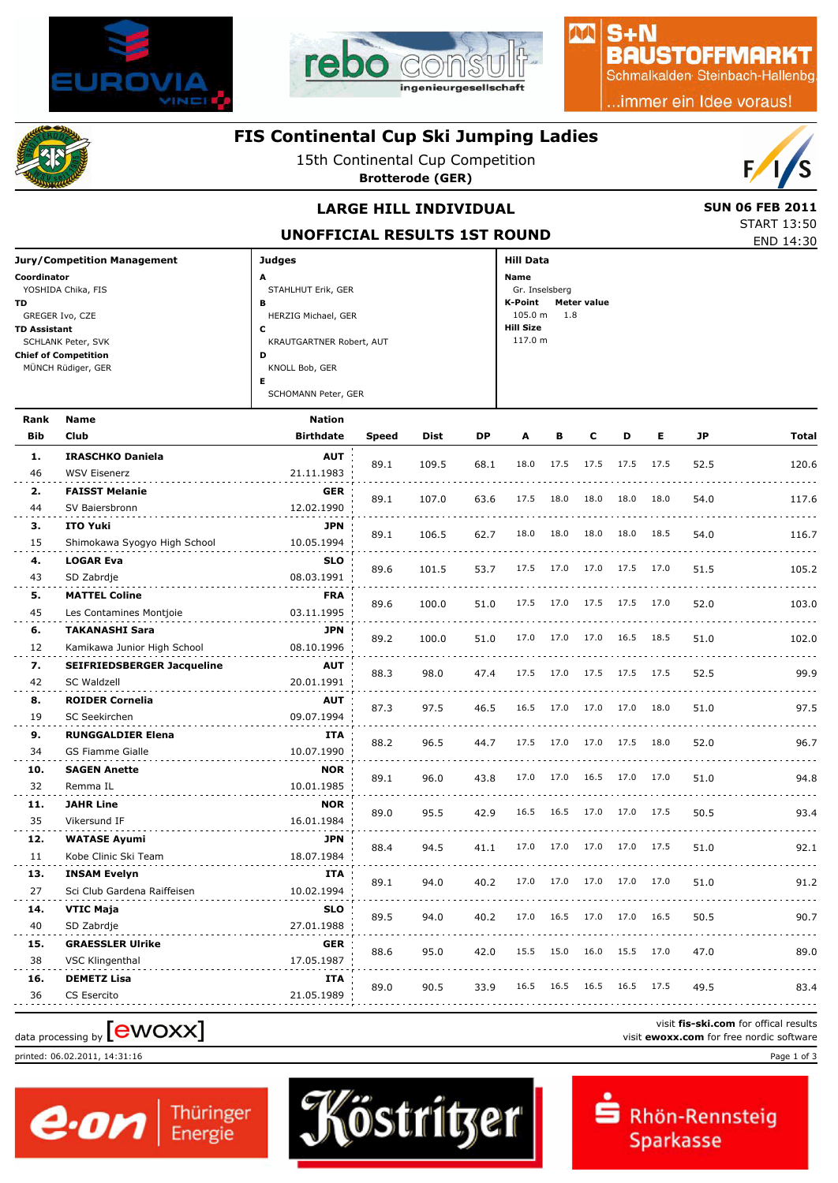



# $S + N$ **BAUSTOFFMARKT**

小八

Schmalkalden Steinbach-Hallenbg

..immer ein Idee voraus!

### **FIS Continental Cup Ski Jumping Ladies**

15th Continental Cup Competition

**Brotterode (GER)**



### **LARGE HILL INDIVIDUAL** SUN 06 FEB 2011

END 14:30 START 13:50

| UNOFFICIAL RESULTS 1ST ROUND |  |
|------------------------------|--|

| <b>Jury/Competition Management</b> | <b>Judges</b>            | Hill Data                     |
|------------------------------------|--------------------------|-------------------------------|
| Coordinator                        | A                        | Name                          |
| YOSHIDA Chika, FIS                 | STAHLHUT Erik, GER       | Gr. Inselsberg                |
| <b>TD</b>                          | в                        | <b>Meter value</b><br>K-Point |
| GREGER Ivo, CZE                    | HERZIG Michael, GER      | $105.0 m$ 1.8                 |
| <b>TD Assistant</b>                | с                        | <b>Hill Size</b>              |
| SCHLANK Peter, SVK                 | KRAUTGARTNER Robert, AUT | 117.0 m                       |
| <b>Chief of Competition</b>        | D                        |                               |
| MÜNCH Rüdiger, GER                 | KNOLL Bob, GER           |                               |
|                                    | Е                        |                               |
|                                    | SCHOMANN Peter, GER      |                               |
| Donk Nome                          | Notion.                  |                               |

| Rank       | Name                                | Nation           |              |             |           |      |      |      |           |      |      |                                          |
|------------|-------------------------------------|------------------|--------------|-------------|-----------|------|------|------|-----------|------|------|------------------------------------------|
| <b>Bib</b> | Club                                | <b>Birthdate</b> | <b>Speed</b> | <b>Dist</b> | <b>DP</b> | A    | в    | c    | D         | Е    | JP   | <b>Total</b>                             |
| 1.         | <b>IRASCHKO Daniela</b>             | <b>AUT</b>       |              |             |           | 18.0 | 17.5 | 17.5 | 17.5 17.5 |      |      |                                          |
| 46         | <b>WSV Eisenerz</b>                 | 21.11.1983       | 89.1         | 109.5       | 68.1      |      |      |      |           |      | 52.5 | 120.6                                    |
| 2.         | <b>FAISST Melanie</b>               | <b>GER</b>       |              |             |           | 17.5 | 18.0 | 18.0 | 18.0      | 18.0 |      |                                          |
| 44         | SV Baiersbronn                      | 12.02.1990       | 89.1         | 107.0       | 63.6      |      |      |      |           |      | 54.0 | 117.6                                    |
| з.         | <b>ITO Yuki</b>                     | <b>JPN</b>       |              |             |           | 18.0 | 18.0 | 18.0 | 18.0      | 18.5 |      |                                          |
| 15         | Shimokawa Syogyo High School        | 10.05.1994       | 89.1         | 106.5       | 62.7      |      |      |      |           |      | 54.0 | 116.7                                    |
| 4.         | <b>LOGAR Eva</b>                    | <b>SLO</b>       |              |             |           | 17.5 | 17.0 | 17.0 | 17.5      | 17.0 |      |                                          |
| 43         | SD Zabrdje                          | 08.03.1991       | 89.6         | 101.5       | 53.7      |      |      |      |           |      | 51.5 | 105.2                                    |
| 5.         | <b>MATTEL Coline</b>                | <b>FRA</b>       | 89.6         | 100.0       | 51.0      | 17.5 | 17.0 | 17.5 | 17.5 17.0 |      | 52.0 | 103.0                                    |
| 45         | Les Contamines Montjoie             | 03.11.1995       |              |             |           |      |      |      |           |      |      |                                          |
| 6.         | <b>TAKANASHI Sara</b>               | <b>JPN</b>       | 89.2         | 100.0       | 51.0      | 17.0 | 17.0 | 17.0 | 16.5 18.5 |      | 51.0 | 102.0                                    |
| 12         | Kamikawa Junior High School         | 08.10.1996       |              |             |           |      |      |      |           |      |      |                                          |
| 7.         | <b>SEIFRIEDSBERGER Jacqueline</b>   | <b>AUT</b>       | 88.3         | 98.0        | 47.4      | 17.5 | 17.0 | 17.5 | 17.5 17.5 |      | 52.5 | 99.9                                     |
| 42         | <b>SC Waldzell</b>                  | 20.01.1991       |              |             |           |      |      |      |           |      |      |                                          |
| 8.         | <b>ROIDER Cornelia</b>              | <b>AUT</b>       | 87.3         | 97.5        | 46.5      | 16.5 | 17.0 | 17.0 | 17.0      | 18.0 | 51.0 | 97.5                                     |
| 19         | SC Seekirchen                       | 09.07.1994       |              |             |           |      |      |      |           |      |      |                                          |
| 9.         | <b>RUNGGALDIER Elena</b>            | <b>ITA</b>       | 88.2         | 96.5        | 44.7      | 17.5 | 17.0 | 17.0 | 17.5      | 18.0 | 52.0 | 96.7                                     |
| 34         | <b>GS Fiamme Gialle</b>             | 10.07.1990       |              |             |           |      |      |      |           |      |      |                                          |
| 10.        | <b>SAGEN Anette</b>                 | <b>NOR</b>       | 89.1         | 96.0        | 43.8      | 17.0 | 17.0 | 16.5 | 17.0      | 17.0 | 51.0 | 94.8                                     |
| 32         | Remma IL                            | 10.01.1985       |              |             |           |      |      |      |           |      |      |                                          |
| 11.        | <b>JAHR Line</b>                    | <b>NOR</b>       | 89.0         | 95.5        | 42.9      | 16.5 | 16.5 | 17.0 | 17.0      | 17.5 | 50.5 | 93.4                                     |
| 35         | Vikersund IF                        | 16.01.1984       |              |             |           |      |      |      |           |      |      |                                          |
| 12.        | <b>WATASE Ayumi</b>                 | <b>JPN</b>       | 88.4         | 94.5        | 41.1      | 17.0 | 17.0 | 17.0 | 17.0      | 17.5 | 51.0 | 92.1                                     |
| 11         | Kobe Clinic Ski Team                | 18.07.1984       |              |             |           |      |      |      |           |      |      |                                          |
| 13.        | <b>INSAM Evelyn</b>                 | <b>ITA</b>       | 89.1         | 94.0        | 40.2      | 17.0 | 17.0 | 17.0 | 17.0      | 17.0 | 51.0 | 91.2                                     |
| 27         | Sci Club Gardena Raiffeisen         | 10.02.1994       |              |             |           |      |      |      |           |      |      |                                          |
| 14.        | <b>VTIC Maja</b>                    | <b>SLO</b>       | 89.5         | 94.0        | 40.2      | 17.0 | 16.5 | 17.0 | 17.0 16.5 |      | 50.5 | 90.7                                     |
| 40         | SD Zabrdje                          | 27.01.1988       |              |             |           |      |      |      |           |      |      |                                          |
| 15.        | <b>GRAESSLER Ulrike</b>             | <b>GER</b>       | 88.6         | 95.0        | 42.0      | 15.5 | 15.0 | 16.0 | 15.5      | 17.0 | 47.0 | 89.0                                     |
| 38         | <b>VSC Klingenthal</b>              | 17.05.1987       |              |             |           |      |      |      |           |      |      |                                          |
| 16.        | <b>DEMETZ Lisa</b>                  | ITA              | 89.0         | 90.5        | 33.9      | 16.5 | 16.5 | 16.5 | 16.5      | 17.5 | 49.5 | 83.4                                     |
| 36         | <b>CS Esercito</b>                  | 21.05.1989       |              |             |           |      |      |      |           |      |      |                                          |
|            |                                     |                  |              |             |           |      |      |      |           |      |      | visit fis-ski.com for offical results    |
|            | data processing by [ <b>eWOXX</b> ] |                  |              |             |           |      |      |      |           |      |      | visit ewoxx.com for free nordic software |

printed: 06.02.2011, 14:31:16 Page 1 of 3



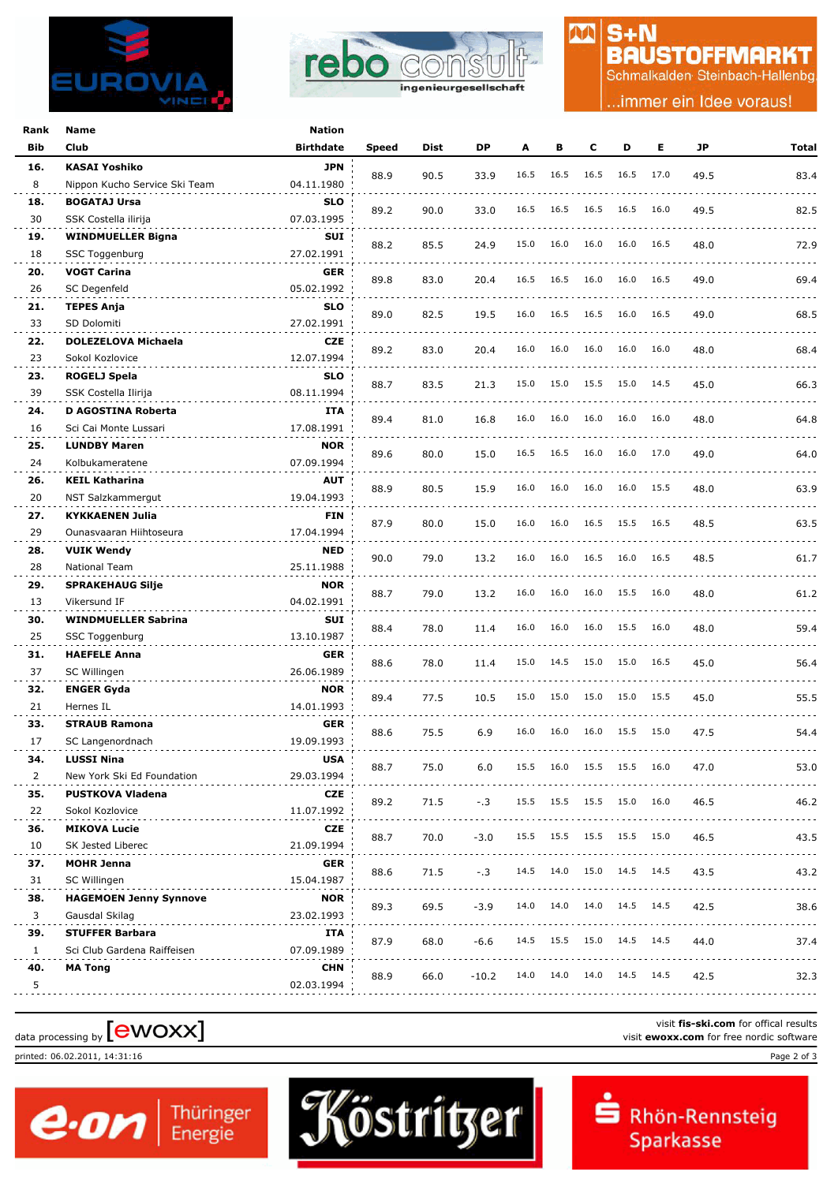



# $S + N$ **BAUSTOFFMARKT**

M

Schmalkalden Steinbach-Hallenbg

.immer ein Idee voraus!

| Rank      | Name                                            | Nation                   |       |      |         |      |      |      |                |      |      |                             |
|-----------|-------------------------------------------------|--------------------------|-------|------|---------|------|------|------|----------------|------|------|-----------------------------|
| Bib       | Club                                            | <b>Birthdate</b>         | Speed | Dist | DP      | A    | В    | c    | D              | Е    | JP   | Total                       |
| 16.       | <b>KASAI Yoshiko</b>                            | <b>JPN</b>               |       |      |         |      |      |      |                |      |      |                             |
| 8         | Nippon Kucho Service Ski Team                   | 04.11.1980               | 88.9  | 90.5 | 33.9    | 16.5 | 16.5 | 16.5 | 16.5           | 17.0 | 49.5 | 83.4                        |
| 18.       | <b>BOGATAJ Ursa</b>                             | <b>SLO</b>               |       |      |         |      |      |      |                |      |      |                             |
| 30        | SSK Costella ilirija                            | 07.03.1995               | 89.2  | 90.0 | 33.0    | 16.5 | 16.5 | 16.5 | 16.5           | 16.0 | 49.5 | 82.5                        |
| 19.       | <b>WINDMUELLER Bigna</b>                        | SUI                      |       |      |         |      |      |      |                |      |      |                             |
| 18        | SSC Toggenburg                                  | 27.02.1991               | 88.2  | 85.5 | 24.9    | 15.0 | 16.0 | 16.0 | 16.0           | 16.5 | 48.0 | 72.9                        |
| 20.       | <b>VOGT Carina</b>                              | <b>GER</b>               |       |      |         |      |      |      |                |      |      |                             |
| 26        | SC Degenfeld                                    | 05.02.1992               | 89.8  | 83.0 | 20.4    | 16.5 | 16.5 | 16.0 | 16.0           | 16.5 | 49.0 | 69.4                        |
| 21.       | <b>TEPES Anja</b>                               | <b>SLO</b>               |       |      |         |      |      |      |                |      |      |                             |
| 33        | SD Dolomiti                                     | 27.02.1991               | 89.0  | 82.5 | 19.5    | 16.0 | 16.5 | 16.5 | 16.0           | 16.5 | 49.0 | 68.5                        |
| 22.       | <b>DOLEZELOVA Michaela</b>                      | <b>CZE</b>               |       |      |         |      |      |      |                |      |      |                             |
| 23        | Sokol Kozlovice                                 | 12.07.1994               | 89.2  | 83.0 | 20.4    | 16.0 | 16.0 | 16.0 | 16.0           | 16.0 | 48.0 | 68.4                        |
| 23.       | ROGELJ Spela                                    | <b>SLO</b>               |       |      |         |      |      |      |                |      |      |                             |
| 39        | SSK Costella Ilirija                            | 08.11.1994               | 88.7  | 83.5 | 21.3    | 15.0 | 15.0 | 15.5 | 15.0           | 14.5 | 45.0 | 66.3                        |
| 24.       | D AGOSTINA Roberta                              | ITA                      |       |      |         |      |      |      |                |      |      |                             |
| 16        | Sci Cai Monte Lussari                           | 17.08.1991               | 89.4  | 81.0 | 16.8    | 16.0 | 16.0 | 16.0 | 16.0           | 16.0 | 48.0 | 64.8                        |
| 25.       | <b>LUNDBY Maren</b>                             | <b>NOR</b>               |       |      |         |      |      |      |                |      |      |                             |
| 24        | Kolbukameratene                                 | 07.09.1994               | 89.6  | 80.0 | 15.0    | 16.5 | 16.5 | 16.0 | 16.0           | 17.0 | 49.0 | 64.0                        |
| 26.       | <b>KEIL Katharina</b>                           | <b>AUT</b>               |       |      |         |      |      |      |                |      |      |                             |
| 20        | NST Salzkammergut                               | 19.04.1993               | 88.9  | 80.5 | 15.9    | 16.0 | 16.0 | 16.0 | 16.0           | 15.5 | 48.0 | 63.9                        |
| 27.       | <b>KYKKAENEN Julia</b>                          | <b>FIN</b>               |       |      |         |      |      |      |                |      |      |                             |
| 29        | Ounasvaaran Hiihtoseura                         | 17.04.1994               | 87.9  | 80.0 | 15.0    | 16.0 | 16.0 | 16.5 | 15.5           | 16.5 | 48.5 | 63.5                        |
| 28.       | <b>VUIK Wendy</b>                               | <b>NED</b>               |       |      |         |      |      |      |                |      |      |                             |
| 28        | National Team                                   | 25.11.1988               | 90.0  | 79.0 | 13.2    | 16.0 | 16.0 | 16.5 | 16.0           | 16.5 | 48.5 | 61.7                        |
| 29.       | <b>SPRAKEHAUG Silje</b>                         | <b>NOR</b>               |       |      |         |      |      |      |                |      |      |                             |
| 13        | Vikersund IF                                    | 04.02.1991               | 88.7  | 79.0 | 13.2    | 16.0 | 16.0 | 16.0 | 15.5           | 16.0 | 48.0 | 61.2                        |
| 30.       | <b>WINDMUELLER Sabrina</b>                      | SUI                      |       |      |         |      |      |      |                |      |      |                             |
| 25        | SSC Toggenburg                                  | 13.10.1987               | 88.4  | 78.0 | 11.4    | 16.0 | 16.0 | 16.0 | 15.5           | 16.0 | 48.0 | 59.4                        |
| 31.       | <b>HAEFELE Anna</b>                             | <b>GER</b>               |       |      |         |      |      |      |                |      |      |                             |
| 37        | SC Willingen                                    | 26.06.1989               | 88.6  | 78.0 | 11.4    | 15.0 | 14.5 | 15.0 | 15.0           | 16.5 | 45.0 | 56.4                        |
|           |                                                 |                          |       |      |         |      |      |      |                |      |      |                             |
| 32.<br>21 | <b>ENGER Gyda</b><br>Hernes IL                  | <b>NOR</b><br>14.01.1993 | 89.4  | 77.5 | 10.5    | 15.0 | 15.0 | 15.0 | 15.0           | 15.5 | 45.0 | 55.5                        |
|           |                                                 |                          |       |      |         |      |      |      |                |      |      |                             |
| 33.<br>17 | <b>STRAUB Ramona</b>                            | GER<br>19.09.1993        | 88.6  | 75.5 | 6.9     | 16.0 | 16.0 | 16.0 | 15.5           | 15.0 | 47.5 | 54.4                        |
|           | SC Langenordnach                                |                          |       |      |         |      |      |      |                |      |      |                             |
| 34.<br>2  | <b>LUSSI Nina</b><br>New York Ski Ed Foundation | <b>USA</b><br>29.03.1994 | 88.7  | 75.0 | 6.0     | 15.5 | 16.0 | 15.5 | 15.5 16.0      |      | 47.0 | 53.0                        |
| 35.       | <b>PUSTKOVA Vladena</b>                         | <b>CZE</b>               |       |      |         |      |      |      |                |      |      |                             |
| 22        | Sokol Kozlovice                                 | 11.07.1992               | 89.2  | 71.5 | $-.3$   | 15.5 | 15.5 | 15.5 | 15.0           | 16.0 | 46.5 | 46.2                        |
|           |                                                 |                          |       |      |         |      |      |      |                |      |      |                             |
| 36.       | <b>MIKOVA Lucie</b><br>SK Jested Liberec        | <b>CZE</b>               | 88.7  | 70.0 | $-3.0$  | 15.5 | 15.5 |      | 15.5 15.5 15.0 |      | 46.5 | 43.5                        |
| 10        |                                                 | 21.09.1994               |       |      |         |      |      |      |                |      |      | $\sim$ $\sim$ $\sim$ $\sim$ |
| 37.       | <b>MOHR Jenna</b>                               | <b>GER</b>               | 88.6  | 71.5 | $-.3$   | 14.5 | 14.0 | 15.0 | 14.5 14.5      |      | 43.5 | 43.2                        |
| 31        | SC Willingen                                    | 15.04.1987               |       |      |         |      |      |      |                |      |      |                             |
| 38.       | <b>HAGEMOEN Jenny Synnove</b>                   | <b>NOR</b>               | 89.3  | 69.5 | $-3.9$  | 14.0 | 14.0 | 14.0 | 14.5           | 14.5 | 42.5 | 38.6                        |
| 3         | Gausdal Skilag                                  | 23.02.1993               |       |      |         |      |      |      |                |      |      |                             |
| 39.       | <b>STUFFER Barbara</b>                          | ITA                      | 87.9  | 68.0 | $-6.6$  | 14.5 | 15.5 | 15.0 | 14.5           | 14.5 | 44.0 | 37.4                        |
| 1         | Sci Club Gardena Raiffeisen                     | 07.09.1989               |       |      |         |      |      |      |                |      |      |                             |
| 40.       | <b>MA Tong</b>                                  | <b>CHN</b>               | 88.9  | 66.0 | $-10.2$ | 14.0 | 14.0 | 14.0 | 14.5           | 14.5 | 42.5 | 32.3                        |
| 5         |                                                 | 02.03.1994               |       |      |         |      |      |      |                |      |      |                             |

data processing by **[CWOXX]** visit **ewoxx.com** for offical results<br>visit **ewoxx.com** for free nordic software

printed: 06.02.2011, 14:31:16 Page 2 of 3



visit **fis-ski.com** for offical results